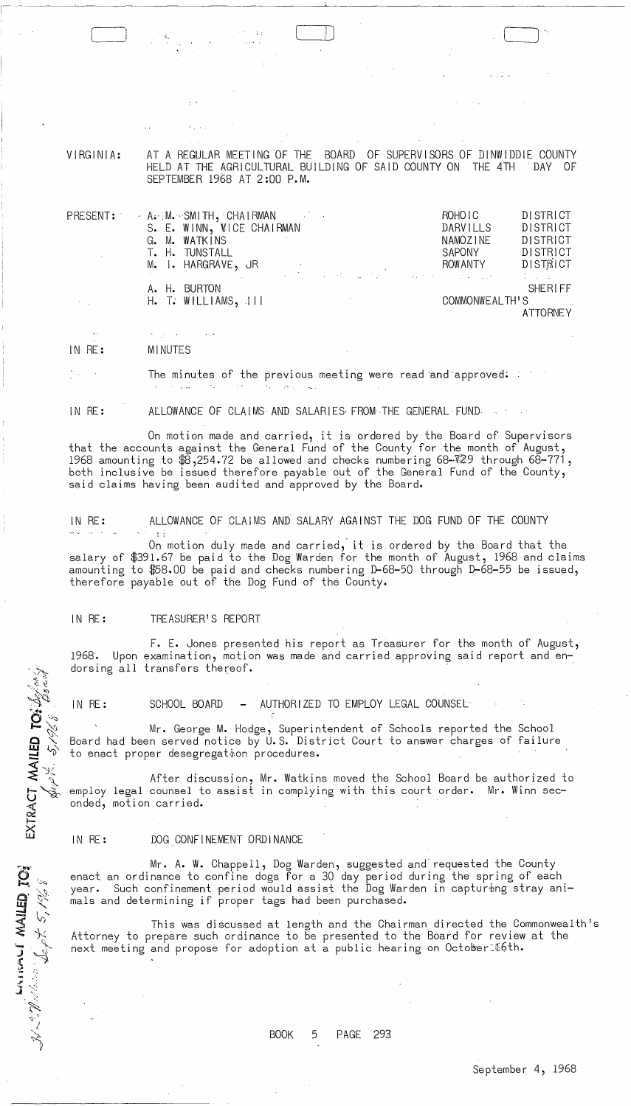VIRGINIA:

AT A REGULAR MEETING OF THE BOARD OF SUPERVISORS OF DINWIDDIE COUNTY<br>HELD AT THE AGRICULTURAL BUILDING OF SAID COUNTY ON THE 4TH DAY OF HELD AT THE AGRICULTURAL BUILDING OF SAID COUNTY ON THE 4TH SEPTEMBER 1968 AT 2:00 P.M.

|                             | PRESENT: A. M. SMITH, CHAIRMAN<br>$\mathcal{L}^{\mathcal{L}}(\mathcal{L}^{\mathcal{L}}(\mathcal{L}^{\mathcal{L}}(\mathcal{L}^{\mathcal{L}}(\mathcal{L}^{\mathcal{L}}(\mathcal{L}^{\mathcal{L}}(\mathcal{L}^{\mathcal{L}}(\mathcal{L}^{\mathcal{L}}(\mathcal{L}^{\mathcal{L}}(\mathcal{L}^{\mathcal{L}}(\mathcal{L}^{\mathcal{L}}(\mathcal{L}^{\mathcal{L}}(\mathcal{L}^{\mathcal{L}}(\mathcal{L}^{\mathcal{L}}(\mathcal{L}^{\mathcal{L}}(\mathcal{L}^{\mathcal{L}}(\mathcal{L}^{\mathcal{L$ | ROHO <sub>IC</sub> | <b>DISTRICT</b> |
|-----------------------------|---------------------------------------------------------------------------------------------------------------------------------------------------------------------------------------------------------------------------------------------------------------------------------------------------------------------------------------------------------------------------------------------------------------------------------------------------------------------------------------------|--------------------|-----------------|
|                             | S. E. WINN, VICE CHAIRMAN                                                                                                                                                                                                                                                                                                                                                                                                                                                                   | DARVILLS           | DISTRICT        |
|                             | G. M. WATKINS                                                                                                                                                                                                                                                                                                                                                                                                                                                                               | NAMOZINE           | DISTRICT        |
|                             | T. H. TUNSTALL                                                                                                                                                                                                                                                                                                                                                                                                                                                                              | <b>SAPONY</b>      | DISTRICT        |
|                             | M. I. HARGRAVE, JR<br>$\label{eq:2.1} \mathcal{L}_{\mathcal{A}}(\mathcal{A}) = \mathcal{L}_{\mathcal{A}}(\mathcal{A}) = \mathcal{L}_{\mathcal{A}}(\mathcal{A})$                                                                                                                                                                                                                                                                                                                             | ROWANTY            | DISTRICT        |
|                             |                                                                                                                                                                                                                                                                                                                                                                                                                                                                                             |                    |                 |
|                             | A. H. BURTON                                                                                                                                                                                                                                                                                                                                                                                                                                                                                |                    | <b>SHERLFF</b>  |
| $\mathcal{F}=\mathcal{F}$ . | $H.$ T: WILLIAMS, $111$                                                                                                                                                                                                                                                                                                                                                                                                                                                                     | COMMONWEALTH'S     |                 |
|                             |                                                                                                                                                                                                                                                                                                                                                                                                                                                                                             |                    | <b>ATTORNEY</b> |

IN RE: MINUTES

The minutes of the previous meeting were read 'and'approved;

IN RE: ALLOWANCE OF CLAIMS AND SALARIES, FROM THE GENERAL· FUND

On motion made and carried, it is ordered by the Board of Supervisors that the accounts against the General Fund of the County for the month of August, 1968 amounting to  $\overline{\mathfrak{B}},$ 254.72 be allowed and checks numbering 68-729 through 68-771, both inclusive be issued therefore payable out of the General Fund of the County, said claims having been audited and approved by the Board.

IN RE: ALLOWANCE OF CLAIMS AND SALARY AGAINST THE DOG FUND OF THE COUNTY

On motion duly made and carried; it is.ordered by the Board that the salary of \$391.67 be paid to the Dog Warden for the month of August, 1968 and claims amounting to \$58.00 be paid and checks numbering D-68-50 through D-68-55 be issued, therefore payable out of the Dog Fund of the County.

## IN RE: TREASURER'S REPORT

 $\begin{array}{ll} \textsf{EXIRACT}\ \textsf{MAllED}\ \textsf{TO:}\ \mathcal{L}_{S} \mathcal{L}_{\alpha \circ \gamma} \ \textsf{A} \end{array}$ 

**MV ICHINE** 

F. E. Jones presented his report as Treasurer for the month of August, 1968. Upon examination, motion was made and carried approving said report and en~ dorsing all transfers thereof.

IN RE: SCHOOL BOARD - AUTHORIZED TO EMPLOY LEGAL COUNSEL

Mr. George M. Hodge, Superintendent of Schools reported the School Board had been served notice by U.S. District Court to answer charges of failure to enact proper desegregation procedures.

After discussion, Mr. Watkins moved the School Board be authorized to employ legal counsel to assist in complying with this court order. Mr. Winn seconded, motion carried.

IN RE: DOG CONFINEMENT ORDINANCE

Mr. A. W. Chappell, Dog Warden, suggested and' requested the County enact an ordinance to confine dogs for a 30 day period during the spring of each year. Such confinement period would assist the Dog Warden in capturing stray animals and determining if proper tags had been purchased.

This was discussed at length and the Chairman directed the Commonwealth's Attorney to prepare such ordinance to be presented to the Board for review at the next meeting and propose for adoption at a public hearing on October: #6th.

BOOK 5 PAGE 293.